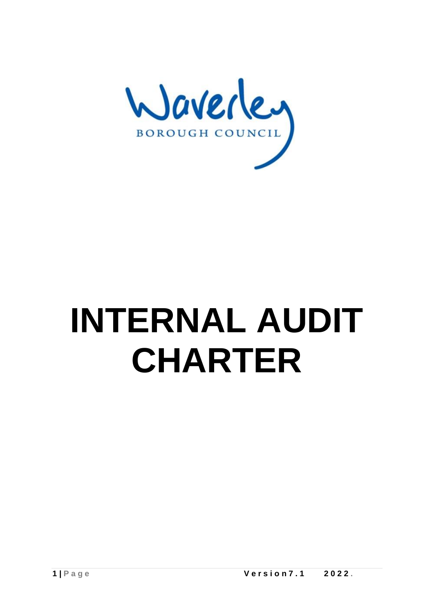

# **INTERNAL AUDIT CHARTER**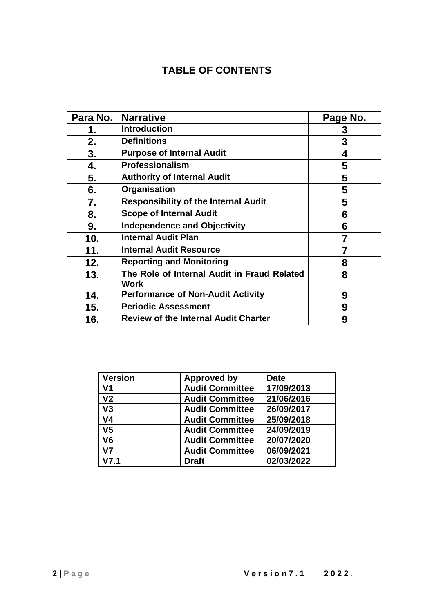# **TABLE OF CONTENTS**

| Para No. | <b>Narrative</b>                                           | Page No. |
|----------|------------------------------------------------------------|----------|
| 1.       | <b>Introduction</b>                                        | 3        |
| 2.       | <b>Definitions</b>                                         | 3        |
| 3.       | <b>Purpose of Internal Audit</b>                           | 4        |
| 4.       | Professionalism                                            | 5        |
| 5.       | <b>Authority of Internal Audit</b>                         | 5        |
| 6.       | Organisation                                               | 5        |
| 7.       | <b>Responsibility of the Internal Audit</b>                | 5        |
| 8.       | <b>Scope of Internal Audit</b>                             | 6        |
| 9.       | <b>Independence and Objectivity</b>                        | 6        |
| 10.      | <b>Internal Audit Plan</b>                                 | 7        |
| 11.      | <b>Internal Audit Resource</b>                             | 7        |
| 12.      | <b>Reporting and Monitoring</b>                            | 8        |
| 13.      | The Role of Internal Audit in Fraud Related<br><b>Work</b> | 8        |
| 14.      | <b>Performance of Non-Audit Activity</b>                   | 9        |
| 15.      | <b>Periodic Assessment</b>                                 | 9        |
| 16.      | <b>Review of the Internal Audit Charter</b>                | 9        |

| <b>Version</b> | <b>Approved by</b>     | <b>Date</b> |
|----------------|------------------------|-------------|
| V <sub>1</sub> | <b>Audit Committee</b> | 17/09/2013  |
| V <sub>2</sub> | <b>Audit Committee</b> | 21/06/2016  |
| V3             | <b>Audit Committee</b> | 26/09/2017  |
| V <sub>4</sub> | <b>Audit Committee</b> | 25/09/2018  |
| V <sub>5</sub> | <b>Audit Committee</b> | 24/09/2019  |
| V <sub>6</sub> | <b>Audit Committee</b> | 20/07/2020  |
| V <sub>7</sub> | <b>Audit Committee</b> | 06/09/2021  |
| V7.1           | <b>Draft</b>           | 02/03/2022  |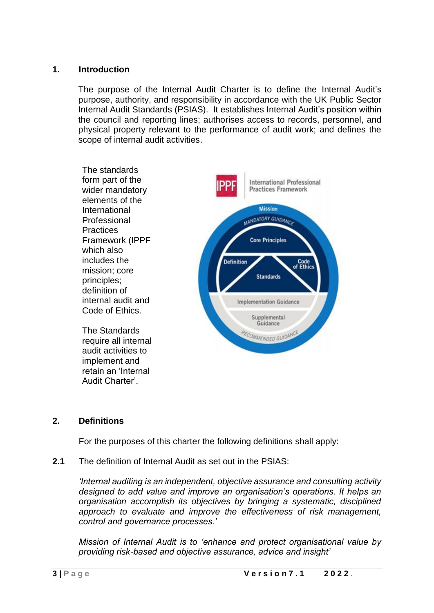# **1. Introduction**

The purpose of the Internal Audit Charter is to define the Internal Audit's purpose, authority, and responsibility in accordance with the UK Public Sector Internal Audit Standards (PSIAS). It establishes Internal Audit's position within the council and reporting lines; authorises access to records, personnel, and physical property relevant to the performance of audit work; and defines the scope of internal audit activities.



# **2. Definitions**

For the purposes of this charter the following definitions shall apply:

**2.1** The definition of Internal Audit as set out in the PSIAS:

*'Internal auditing is an independent, objective assurance and consulting activity designed to add value and improve an organisation's operations. It helps an organisation accomplish its objectives by bringing a systematic, disciplined approach to evaluate and improve the effectiveness of risk management, control and governance processes.'*

*Mission of Internal Audit is to 'enhance and protect organisational value by providing risk-based and objective assurance, advice and insight'*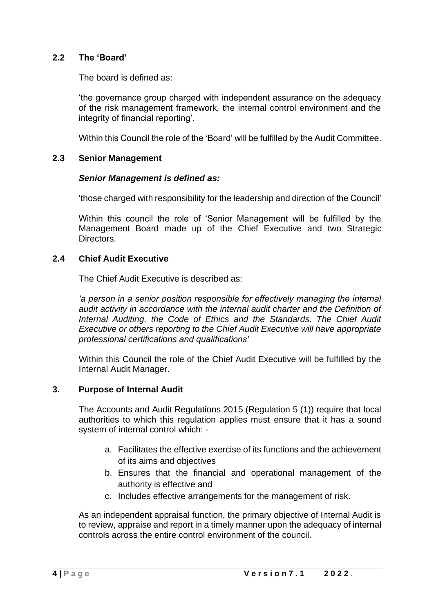# **2.2 The 'Board'**

The board is defined as:

'the governance group charged with independent assurance on the adequacy of the risk management framework, the internal control environment and the integrity of financial reporting'.

Within this Council the role of the 'Board' will be fulfilled by the Audit Committee.

# **2.3 Senior Management**

#### *Senior Management is defined as:*

'those charged with responsibility for the leadership and direction of the Council'

Within this council the role of 'Senior Management will be fulfilled by the Management Board made up of the Chief Executive and two Strategic Directors.

#### **2.4 Chief Audit Executive**

The Chief Audit Executive is described as:

*'a person in a senior position responsible for effectively managing the internal audit activity in accordance with the internal audit charter and the Definition of Internal Auditing, the Code of Ethics and the Standards. The Chief Audit Executive or others reporting to the Chief Audit Executive will have appropriate professional certifications and qualifications'* 

Within this Council the role of the Chief Audit Executive will be fulfilled by the Internal Audit Manager.

#### **3. Purpose of Internal Audit**

The Accounts and Audit Regulations 2015 (Regulation 5 (1)) require that local authorities to which this regulation applies must ensure that it has a sound system of internal control which: -

- a. Facilitates the effective exercise of its functions and the achievement of its aims and objectives
- b. Ensures that the financial and operational management of the authority is effective and
- c. Includes effective arrangements for the management of risk.

As an independent appraisal function, the primary objective of Internal Audit is to review, appraise and report in a timely manner upon the adequacy of internal controls across the entire control environment of the council.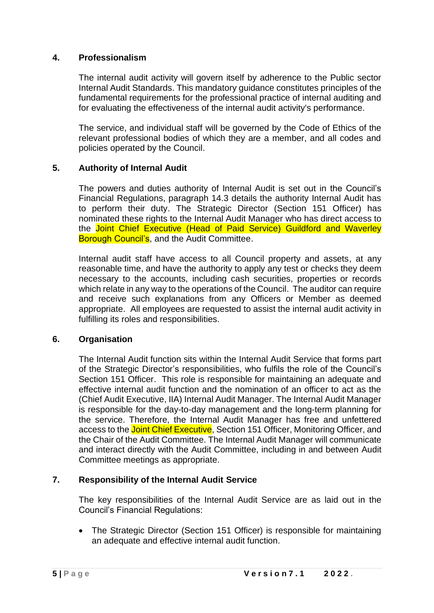# **4. Professionalism**

The internal audit activity will govern itself by adherence to the Public sector Internal Audit Standards. This mandatory guidance constitutes principles of the fundamental requirements for the professional practice of internal auditing and for evaluating the effectiveness of the internal audit activity's performance.

The service, and individual staff will be governed by the Code of Ethics of the relevant professional bodies of which they are a member, and all codes and policies operated by the Council.

# **5. Authority of Internal Audit**

The powers and duties authority of Internal Audit is set out in the Council's Financial Regulations, paragraph 14.3 details the authority Internal Audit has to perform their duty. The Strategic Director (Section 151 Officer) has nominated these rights to the Internal Audit Manager who has direct access to the Joint Chief Executive (Head of Paid Service) Guildford and Waverley **Borough Council's, and the Audit Committee.** 

Internal audit staff have access to all Council property and assets, at any reasonable time, and have the authority to apply any test or checks they deem necessary to the accounts, including cash securities, properties or records which relate in any way to the operations of the Council. The auditor can require and receive such explanations from any Officers or Member as deemed appropriate. All employees are requested to assist the internal audit activity in fulfilling its roles and responsibilities.

#### **6. Organisation**

The Internal Audit function sits within the Internal Audit Service that forms part of the Strategic Director's responsibilities, who fulfils the role of the Council's Section 151 Officer. This role is responsible for maintaining an adequate and effective internal audit function and the nomination of an officer to act as the (Chief Audit Executive, IIA) Internal Audit Manager. The Internal Audit Manager is responsible for the day-to-day management and the long-term planning for the service. Therefore, the Internal Audit Manager has free and unfettered access to the Joint Chief Executive, Section 151 Officer, Monitoring Officer, and the Chair of the Audit Committee. The Internal Audit Manager will communicate and interact directly with the Audit Committee, including in and between Audit Committee meetings as appropriate.

#### **7. Responsibility of the Internal Audit Service**

The key responsibilities of the Internal Audit Service are as laid out in the Council's Financial Regulations:

• The Strategic Director (Section 151 Officer) is responsible for maintaining an adequate and effective internal audit function.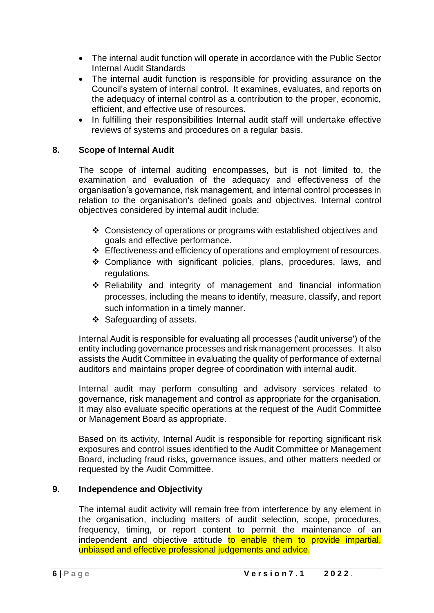- The internal audit function will operate in accordance with the Public Sector Internal Audit Standards
- The internal audit function is responsible for providing assurance on the Council's system of internal control. It examines, evaluates, and reports on the adequacy of internal control as a contribution to the proper, economic, efficient, and effective use of resources.
- In fulfilling their responsibilities Internal audit staff will undertake effective reviews of systems and procedures on a regular basis.

# **8. Scope of Internal Audit**

The scope of internal auditing encompasses, but is not limited to, the examination and evaluation of the adequacy and effectiveness of the organisation's governance, risk management, and internal control processes in relation to the organisation's defined goals and objectives. Internal control objectives considered by internal audit include:

- ❖ Consistency of operations or programs with established objectives and goals and effective performance.
- ❖ Effectiveness and efficiency of operations and employment of resources.
- ❖ Compliance with significant policies, plans, procedures, laws, and regulations.
- ❖ Reliability and integrity of management and financial information processes, including the means to identify, measure, classify, and report such information in a timely manner.
- ❖ Safeguarding of assets.

Internal Audit is responsible for evaluating all processes ('audit universe') of the entity including governance processes and risk management processes. It also assists the Audit Committee in evaluating the quality of performance of external auditors and maintains proper degree of coordination with internal audit.

Internal audit may perform consulting and advisory services related to governance, risk management and control as appropriate for the organisation. It may also evaluate specific operations at the request of the Audit Committee or Management Board as appropriate.

Based on its activity, Internal Audit is responsible for reporting significant risk exposures and control issues identified to the Audit Committee or Management Board, including fraud risks, governance issues, and other matters needed or requested by the Audit Committee.

#### **9. Independence and Objectivity**

The internal audit activity will remain free from interference by any element in the organisation, including matters of audit selection, scope, procedures, frequency, timing, or report content to permit the maintenance of an independent and objective attitude to enable them to provide impartial, unbiased and effective professional judgements and advice.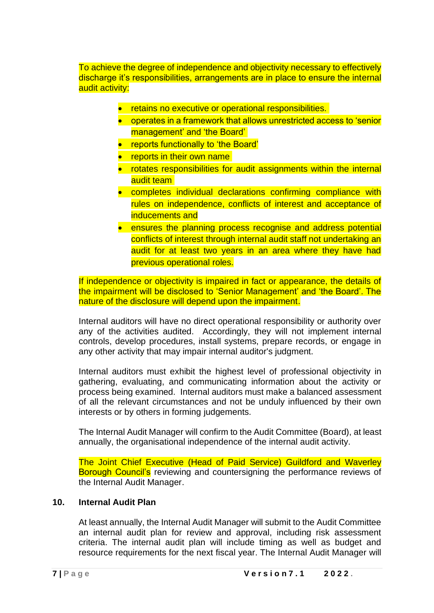To achieve the degree of independence and objectivity necessary to effectively discharge it's responsibilities, arrangements are in place to ensure the internal audit activity:

- retains no executive or operational responsibilities.
- operates in a framework that allows unrestricted access to 'senior management' and 'the Board'
- reports functionally to 'the Board'
- reports in their own name
- rotates responsibilities for audit assignments within the internal audit team
- completes individual declarations confirming compliance with rules on independence, conflicts of interest and acceptance of inducements and
- ensures the planning process recognise and address potential conflicts of interest through internal audit staff not undertaking an audit for at least two years in an area where they have had previous operational roles.

If independence or objectivity is impaired in fact or appearance, the details of the impairment will be disclosed to 'Senior Management' and 'the Board'. The nature of the disclosure will depend upon the impairment.

Internal auditors will have no direct operational responsibility or authority over any of the activities audited. Accordingly, they will not implement internal controls, develop procedures, install systems, prepare records, or engage in any other activity that may impair internal auditor's judgment.

Internal auditors must exhibit the highest level of professional objectivity in gathering, evaluating, and communicating information about the activity or process being examined. Internal auditors must make a balanced assessment of all the relevant circumstances and not be unduly influenced by their own interests or by others in forming judgements.

The Internal Audit Manager will confirm to the Audit Committee (Board), at least annually, the organisational independence of the internal audit activity.

The Joint Chief Executive (Head of Paid Service) Guildford and Waverley Borough Council's reviewing and countersigning the performance reviews of the Internal Audit Manager.

#### **10. Internal Audit Plan**

At least annually, the Internal Audit Manager will submit to the Audit Committee an internal audit plan for review and approval, including risk assessment criteria. The internal audit plan will include timing as well as budget and resource requirements for the next fiscal year. The Internal Audit Manager will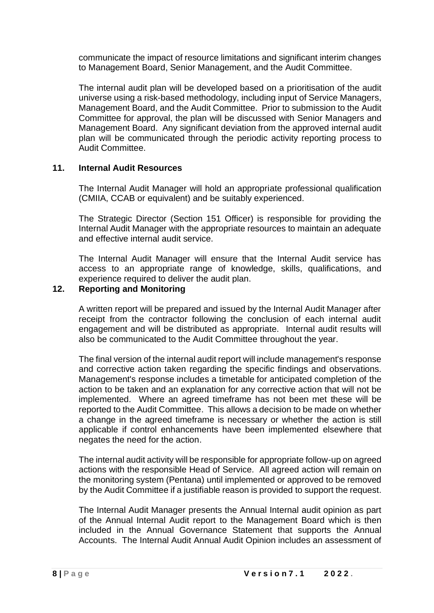communicate the impact of resource limitations and significant interim changes to Management Board, Senior Management, and the Audit Committee.

The internal audit plan will be developed based on a prioritisation of the audit universe using a risk-based methodology, including input of Service Managers, Management Board, and the Audit Committee. Prior to submission to the Audit Committee for approval, the plan will be discussed with Senior Managers and Management Board. Any significant deviation from the approved internal audit plan will be communicated through the periodic activity reporting process to Audit Committee.

# **11. Internal Audit Resources**

The Internal Audit Manager will hold an appropriate professional qualification (CMIIA, CCAB or equivalent) and be suitably experienced.

The Strategic Director (Section 151 Officer) is responsible for providing the Internal Audit Manager with the appropriate resources to maintain an adequate and effective internal audit service.

The Internal Audit Manager will ensure that the Internal Audit service has access to an appropriate range of knowledge, skills, qualifications, and experience required to deliver the audit plan.

# **12. Reporting and Monitoring**

A written report will be prepared and issued by the Internal Audit Manager after receipt from the contractor following the conclusion of each internal audit engagement and will be distributed as appropriate. Internal audit results will also be communicated to the Audit Committee throughout the year.

The final version of the internal audit report will include management's response and corrective action taken regarding the specific findings and observations. Management's response includes a timetable for anticipated completion of the action to be taken and an explanation for any corrective action that will not be implemented. Where an agreed timeframe has not been met these will be reported to the Audit Committee. This allows a decision to be made on whether a change in the agreed timeframe is necessary or whether the action is still applicable if control enhancements have been implemented elsewhere that negates the need for the action.

The internal audit activity will be responsible for appropriate follow-up on agreed actions with the responsible Head of Service. All agreed action will remain on the monitoring system (Pentana) until implemented or approved to be removed by the Audit Committee if a justifiable reason is provided to support the request.

The Internal Audit Manager presents the Annual Internal audit opinion as part of the Annual Internal Audit report to the Management Board which is then included in the Annual Governance Statement that supports the Annual Accounts. The Internal Audit Annual Audit Opinion includes an assessment of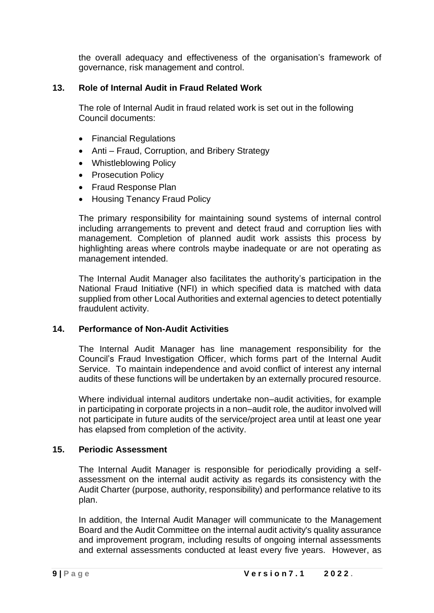the overall adequacy and effectiveness of the organisation's framework of governance, risk management and control.

# **13. Role of Internal Audit in Fraud Related Work**

The role of Internal Audit in fraud related work is set out in the following Council documents:

- Financial Regulations
- Anti Fraud, Corruption, and Bribery Strategy
- Whistleblowing Policy
- Prosecution Policy
- Fraud Response Plan
- Housing Tenancy Fraud Policy

The primary responsibility for maintaining sound systems of internal control including arrangements to prevent and detect fraud and corruption lies with management. Completion of planned audit work assists this process by highlighting areas where controls maybe inadequate or are not operating as management intended.

The Internal Audit Manager also facilitates the authority's participation in the National Fraud Initiative (NFI) in which specified data is matched with data supplied from other Local Authorities and external agencies to detect potentially fraudulent activity.

# **14. Performance of Non-Audit Activities**

The Internal Audit Manager has line management responsibility for the Council's Fraud Investigation Officer, which forms part of the Internal Audit Service. To maintain independence and avoid conflict of interest any internal audits of these functions will be undertaken by an externally procured resource.

Where individual internal auditors undertake non–audit activities, for example in participating in corporate projects in a non–audit role, the auditor involved will not participate in future audits of the service/project area until at least one year has elapsed from completion of the activity.

# **15. Periodic Assessment**

The Internal Audit Manager is responsible for periodically providing a selfassessment on the internal audit activity as regards its consistency with the Audit Charter (purpose, authority, responsibility) and performance relative to its plan.

In addition, the Internal Audit Manager will communicate to the Management Board and the Audit Committee on the internal audit activity's quality assurance and improvement program, including results of ongoing internal assessments and external assessments conducted at least every five years. However, as